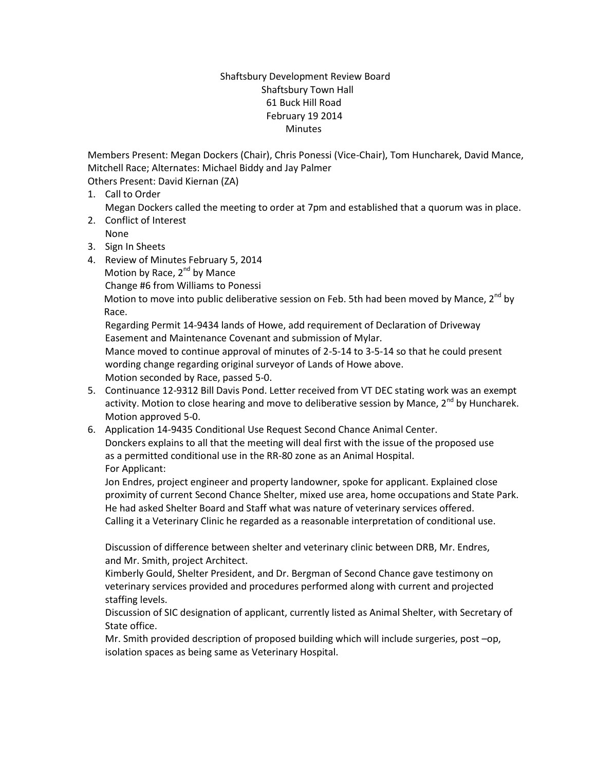## Shaftsbury Development Review Board Shaftsbury Town Hall 61 Buck Hill Road February 19 2014 Minutes

Members Present: Megan Dockers (Chair), Chris Ponessi (Vice-Chair), Tom Huncharek, David Mance, Mitchell Race; Alternates: Michael Biddy and Jay Palmer Others Present: David Kiernan (ZA)

1. Call to Order

Megan Dockers called the meeting to order at 7pm and established that a quorum was in place.

- 2. Conflict of Interest
- None 3. Sign In Sheets
- 4. Review of Minutes February 5, 2014
	- Motion by Race,  $2^{nd}$  by Mance
	- Change #6 from Williams to Ponessi

Motion to move into public deliberative session on Feb. 5th had been moved by Mance,  $2^{nd}$  by Race.

Regarding Permit 14-9434 lands of Howe, add requirement of Declaration of Driveway Easement and Maintenance Covenant and submission of Mylar.

Mance moved to continue approval of minutes of 2-5-14 to 3-5-14 so that he could present wording change regarding original surveyor of Lands of Howe above. Motion seconded by Race, passed 5-0.

- 5. Continuance 12-9312 Bill Davis Pond. Letter received from VT DEC stating work was an exempt activity. Motion to close hearing and move to deliberative session by Mance,  $2<sup>nd</sup>$  by Huncharek. Motion approved 5-0.
- 6. Application 14-9435 Conditional Use Request Second Chance Animal Center. Donckers explains to all that the meeting will deal first with the issue of the proposed use as a permitted conditional use in the RR-80 zone as an Animal Hospital. For Applicant:

Jon Endres, project engineer and property landowner, spoke for applicant. Explained close proximity of current Second Chance Shelter, mixed use area, home occupations and State Park. He had asked Shelter Board and Staff what was nature of veterinary services offered. Calling it a Veterinary Clinic he regarded as a reasonable interpretation of conditional use.

Discussion of difference between shelter and veterinary clinic between DRB, Mr. Endres, and Mr. Smith, project Architect.

Kimberly Gould, Shelter President, and Dr. Bergman of Second Chance gave testimony on veterinary services provided and procedures performed along with current and projected staffing levels.

Discussion of SIC designation of applicant, currently listed as Animal Shelter, with Secretary of State office.

Mr. Smith provided description of proposed building which will include surgeries, post –op, isolation spaces as being same as Veterinary Hospital.